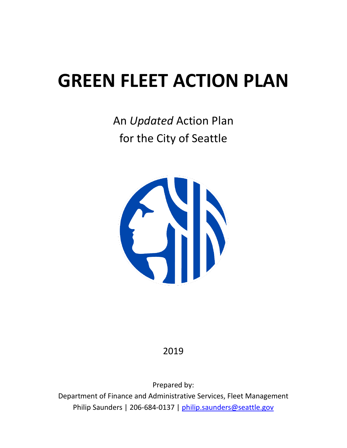# **GREEN FLEET ACTION PLAN**

An *Updated* Action Plan for the City of Seattle



# 2019

Prepared by:

Department of Finance and Administrative Services, Fleet Management Philip Saunders | 206-684-0137 | [philip.saunders@seattle.gov](mailto:andrea.pratt@seattle.gov)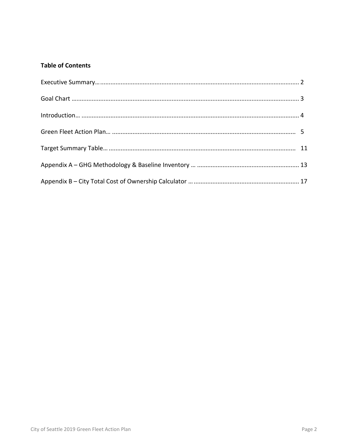# **Table of Contents**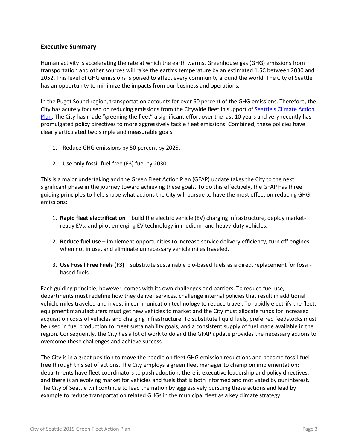# **Executive Summary**

Human activity is accelerating the rate at which the earth warms. Greenhouse gas (GHG) emissions from transportation and other sources will raise the earth's temperature by an estimated 1.5C between 2030 and 2052. This level of GHG emissions is poised to affect every community around the world. The City of Seattle has an opportunity to minimize the impacts from our business and operations.

In the Puget Sound region, transportation accounts for over 60 percent of the GHG emissions. Therefore, the City has acutely focused on reducing emissions from the Citywide fleet in support of Seattle's Climate Action [Plan.](https://www.seattle.gov/environment/climate-change/climate-planning/climate-action-plan) The City has made "greening the fleet" a significant effort over the last 10 years and very recently has promulgated policy directives to more aggressively tackle fleet emissions. Combined, these policies have clearly articulated two simple and measurable goals:

- 1. Reduce GHG emissions by 50 percent by 2025.
- 2. Use only fossil-fuel-free (F3) fuel by 2030.

This is a major undertaking and the Green Fleet Action Plan (GFAP) update takes the City to the next significant phase in the journey toward achieving these goals. To do this effectively, the GFAP has three guiding principles to help shape what actions the City will pursue to have the most effect on reducing GHG emissions:

- 1. **Rapid fleet electrification** build the electric vehicle (EV) charging infrastructure, deploy marketready EVs, and pilot emerging EV technology in medium- and heavy-duty vehicles.
- 2. **Reduce fuel use** implement opportunities to increase service delivery efficiency, turn off engines when not in use, and eliminate unnecessary vehicle miles traveled.
- 3. **Use Fossil Free Fuels (F3)** substitute sustainable bio-based fuels as a direct replacement for fossilbased fuels.

Each guiding principle, however, comes with its own challenges and barriers. To reduce fuel use, departments must redefine how they deliver services, challenge internal policies that result in additional vehicle miles traveled and invest in communication technology to reduce travel. To rapidly electrify the fleet, equipment manufacturers must get new vehicles to market and the City must allocate funds for increased acquisition costs of vehicles and charging infrastructure. To substitute liquid fuels, preferred feedstocks must be used in fuel production to meet sustainability goals, and a consistent supply of fuel made available in the region. Consequently, the City has a lot of work to do and the GFAP update provides the necessary actions to overcome these challenges and achieve success.

The City is in a great position to move the needle on fleet GHG emission reductions and become fossil-fuel free through this set of actions. The City employs a green fleet manager to champion implementation; departments have fleet coordinators to push adoption; there is executive leadership and policy directives; and there is an evolving market for vehicles and fuels that is both informed and motivated by our interest. The City of Seattle will continue to lead the nation by aggressively pursuing these actions and lead by example to reduce transportation related GHGs in the municipal fleet as a key climate strategy.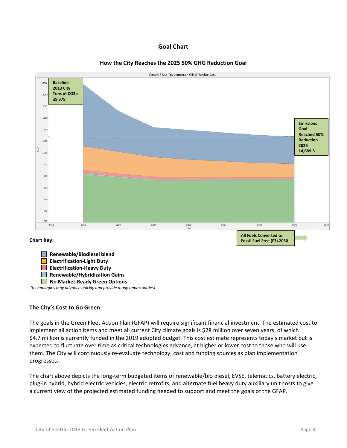# **Goal Chart**





*(technologies may advance quickly and provide many opportunities)*

# **The City's Cost to Go Green**

The goals in the Green Fleet Action Plan (GFAP) will require significant financial investment. The estimated cost to implement all action items and meet all current City climate goals is \$28 million over seven years, of which \$4.7 million is currently funded in the 2019 adopted budget. This cost estimate represents today's market but is expected to fluctuate over time as critical technologies advance, at higher or lower cost to those who will use them. The City will continuously re-evaluate technology, cost and funding sources as plan implementation progresses.

The chart above depicts the long-term budgeted items of renewable/bio diesel, EVSE, telematics, battery electric, plug-in hybrid, hybrid electric vehicles, electric retrofits, and alternate fuel heavy duty auxiliary unit costs to give a current view of the projected estimated funding needed to support and meet the goals of the GFAP.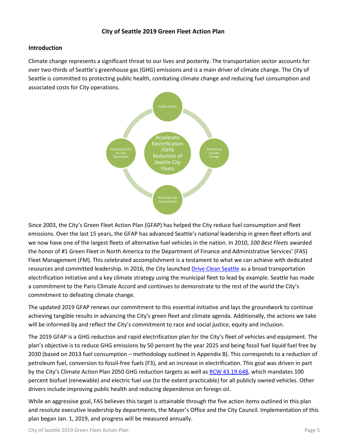# **City of Seattle 2019 Green Fleet Action Plan**

# **Introduction**

Climate change represents a significant threat to our lives and posterity. The transportation sector accounts for over two-thirds of Seattle's greenhouse gas (GHG) emissions and is a main driver of climate change. The City of Seattle is committed to protecting public health, combating climate change and reducing fuel consumption and associated costs for City operations.



Since 2003, the City's Green Fleet Action Plan (GFAP) has helped the City reduce fuel consumption and fleet emissions. Over the last 15 years, the GFAP has advanced Seattle's national leadership in green fleet efforts and we now have one of the largest fleets of alternative fuel vehicles in the nation. In 2010, *100 Best Fleets* awarded the honor of #1 Green Fleet in North America to the Department of Finance and Administrative Services' (FAS) Fleet Management (FM). This celebrated accomplishment is a testament to what we can achieve with dedicated resources and committed leadership. In 2016, the City launched [Drive Clean Seattle](https://www.seattle.gov/environment/climate-change/drive-clean-seattle) as a broad transportation electrification initiative and a key climate strategy using the municipal fleet to lead by example. Seattle has made a commitment to the Paris Climate Accord and continues to demonstrate to the rest of the world the City's commitment to defeating climate change.

The updated 2019 GFAP renews our commitment to this essential initiative and lays the groundwork to continue achieving tangible results in advancing the City's green fleet and climate agenda. Additionally, the actions we take will be informed by and reflect the City's commitment to race and social justice, equity and inclusion.

The 2019 GFAP is a GHG reduction and rapid electrification plan for the City's fleet of vehicles and equipment. The plan's objective is to reduce GHG emissions by 50 percent by the year 2025 and being fossil fuel liquid fuel free by 2030 (based on 2013 fuel consumption – methodology outlined in Appendix B). This corresponds to a reduction of petroleum fuel, conversion to fossil-free fuels (F3), and an increase in electrification. This goal was driven in part by the City's Climate Action Plan 2050 GHG reduction targets as well a[s RCW 43.19.648,](http://app.leg.wa.gov/rcw/default.aspx?cite=43.19.648) which mandates 100 percent biofuel (renewable) and electric fuel use (to the extent practicable) for all publicly owned vehicles. Other drivers include improving public health and reducing dependence on foreign oil.

While an aggressive goal, FAS believes this target is attainable through the five action items outlined in this plan and resolute executive leadership by departments, the Mayor's Office and the City Council. Implementation of this plan began Jan. 1, 2019, and progress will be measured annually.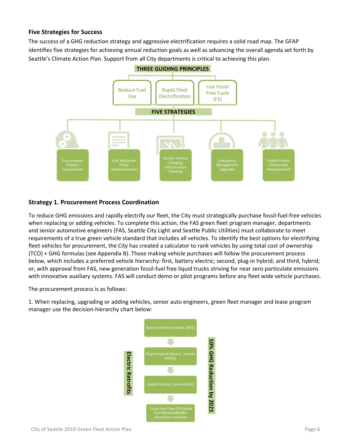# **Five Strategies for Success**

The success of a GHG reduction strategy and aggressive electrification requires a solid road map. The GFAP identifies five strategies for achieving annual reduction goals as well as advancing the overall agenda set forth by Seattle's Climate Action Plan. Support from all City departments is critical to achieving this plan.



# **Strategy 1. Procurement Process Coordination**

To reduce GHG emissions and rapidly electrify our fleet, the City must strategically purchase fossil-fuel-free vehicles when replacing or adding vehicles. To complete this action, the FAS green fleet program manager, departments and senior automotive engineers (FAS, Seattle City Light and Seattle Public Utilities) must collaborate to meet requirements of a true green vehicle standard that includes all vehicles. To identify the best options for electrifying fleet vehicles for procurement, the City has created a calculator to rank vehicles by using total cost of ownership (TCO) + GHG formulas (see Appendix B). Those making vehicle purchases will follow the procurement process below, which includes a preferred vehicle hierarchy: first, battery electric; second, plug-in hybrid; and third, hybrid; or, with approval from FAS, new generation fossil-fuel free liquid trucks striving for near zero particulate emissions with innovative auxiliary systems. FAS will conduct demo or pilot programs before any fleet wide vehicle purchases.

The procurement process is as follows:

1. When replacing, upgrading or adding vehicles, senior auto engineers, green fleet manager and lease program manager use the decision-hierarchy chart below:

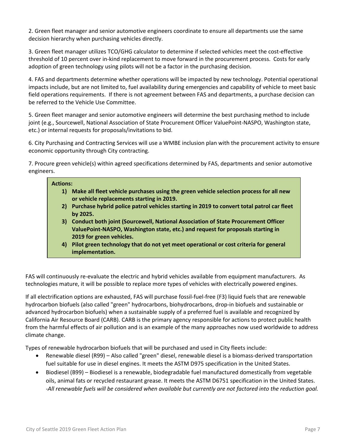2. Green fleet manager and senior automotive engineers coordinate to ensure all departments use the same decision hierarchy when purchasing vehicles directly.

3. Green fleet manager utilizes TCO/GHG calculator to determine if selected vehicles meet the cost-effective threshold of 10 percent over in-kind replacement to move forward in the procurement process. Costs for early adoption of green technology using pilots will not be a factor in the purchasing decision.

4. FAS and departments determine whether operations will be impacted by new technology. Potential operational impacts include, but are not limited to, fuel availability during emergencies and capability of vehicle to meet basic field operations requirements. If there is not agreement between FAS and departments, a purchase decision can be referred to the Vehicle Use Committee.

5. Green fleet manager and senior automotive engineers will determine the best purchasing method to include joint (e.g., Sourcewell, National Association of State Procurement Officer ValuePoint-NASPO, Washington state, etc.) or internal requests for proposals/invitations to bid.

6. City Purchasing and Contracting Services will use a WMBE inclusion plan with the procurement activity to ensure economic opportunity through City contracting.

7. Procure green vehicle(s) within agreed specifications determined by FAS, departments and senior automotive engineers.

# **Actions: 1) Make all fleet vehicle purchases using the green vehicle selection process for all new or vehicle replacements starting in 2019. 2) Purchase hybrid police patrol vehicles starting in 2019 to convert total patrol car fleet by 2025. 3) Conduct both joint (Sourcewell, National Association of State Procurement Officer ValuePoint-NASPO, Washington state, etc.) and request for proposals starting in 2019 for green vehicles. 4) Pilot green technology that do not yet meet operational or cost criteria for general implementation.**

FAS will continuously re-evaluate the electric and hybrid vehicles available from equipment manufacturers. As technologies mature, it will be possible to replace more types of vehicles with electrically powered engines.

If all electrification options are exhausted, FAS will purchase fossil-fuel-free (F3) liquid fuels that are renewable hydrocarbon biofuels (also called "green" hydrocarbons, biohydrocarbons, drop-in biofuels and sustainable or advanced hydrocarbon biofuels) when a sustainable supply of a preferred fuel is available and recognized by California Air Resource Board (CARB). CARB is the primary agency responsible for actions to protect public health from the harmful effects of air pollution and is an example of the many approaches now used worldwide to address climate change.

Types of renewable hydrocarbon biofuels that will be purchased and used in City fleets include:

- Renewable diesel (R99) Also called "green" diesel, renewable diesel is a biomass-derived transportation fuel suitable for use in diesel engines. It meets the ASTM D975 specification in the United States.
- Biodiesel (B99) Biodiesel is a renewable, biodegradable fuel manufactured domestically from vegetable oils, animal fats or recycled restaurant grease. It meets the ASTM D6751 specification in the United States. *-All renewable fuels will be considered when available but currently are not factored into the reduction goal.*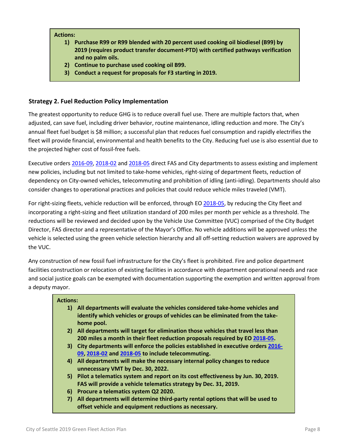#### **Actions:**

- **1) Purchase R99 or R99 blended with 20 percent used cooking oil biodiesel (B99) by 2019 (requires product transfer document-PTD) with certified pathways verification and no palm oils.**
- **2) Continue to purchase used cooking oil B99.**
- **3) Conduct a request for proposals for F3 starting in 2019.**

# **Strategy 2. Fuel Reduction Policy Implementation**

The greatest opportunity to reduce GHG is to reduce overall fuel use. There are multiple factors that, when adjusted, can save fuel, including driver behavior, routine maintenance, idling reduction and more. The City's annual fleet fuel budget is \$8 million; a successful plan that reduces fuel consumption and rapidly electrifies the fleet will provide financial, environmental and health benefits to the City. Reducing fuel use is also essential due to the projected higher cost of fossil-free fuels.

Executive order[s 2016-09,](http://murray.seattle.gov/wp-content/uploads/2016/12/Executive-Order-2016-09-Drive-Clean-Seattle-Fleet-Initiative.pdf) [2018-02](http://durkan.seattle.gov/wp-content/uploads/2018/04/Executive-Order-2018-02-Green-Fleet-.pdf) an[d 2018-05](http://durkan.seattle.gov/wp-content/uploads/2018/09/09.24.18-Fleet-EO.pdf) direct FAS and City departments to assess existing and implement new policies, including but not limited to take-home vehicles, right-sizing of department fleets, reduction of dependency on City-owned vehicles, telecommuting and prohibition of idling (anti-idling). Departments should also consider changes to operational practices and policies that could reduce vehicle miles traveled (VMT).

For right-sizing fleets, vehicle reduction will be enforced, through EO [2018-05,](http://durkan.seattle.gov/wp-content/uploads/2018/09/09.24.18-Fleet-EO.pdf) by reducing the City fleet and incorporating a right-sizing and fleet utilization standard of 200 miles per month per vehicle as a threshold. The reductions will be reviewed and decided upon by the Vehicle Use Committee (VUC) comprised of the City Budget Director, FAS director and a representative of the Mayor's Office. No vehicle additions will be approved unless the vehicle is selected using the green vehicle selection hierarchy and all off-setting reduction waivers are approved by the VUC.

Any construction of new fossil fuel infrastructure for the City's fleet is prohibited. Fire and police department facilities construction or relocation of existing facilities in accordance with department operational needs and race and social justice goals can be exempted with documentation supporting the exemption and written approval from a deputy mayor.

# **Actions:**

- **1) All departments will evaluate the vehicles considered take-home vehicles and identify which vehicles or groups of vehicles can be eliminated from the takehome pool.**
- **2) All departments will target for elimination those vehicles that travel less than 200 miles a month in their fleet reduction proposals required by E[O 2018-05.](http://durkan.seattle.gov/wp-content/uploads/2018/09/09.24.18-Fleet-EO.pdf)**
- **3) City departments will enforce the policies established in executive orders [2016-](http://murray.seattle.gov/wp-content/uploads/2016/12/Executive-Order-2016-09-Drive-Clean-Seattle-Fleet-Initiative.pdf) [09,](http://murray.seattle.gov/wp-content/uploads/2016/12/Executive-Order-2016-09-Drive-Clean-Seattle-Fleet-Initiative.pdf) [2018-02](http://durkan.seattle.gov/wp-content/uploads/2018/04/Executive-Order-2018-02-Green-Fleet-.pdf) and [2018-05](http://durkan.seattle.gov/wp-content/uploads/2018/09/09.24.18-Fleet-EO.pdf) to include telecommuting.**
- **4) All departments will make the necessary internal policy changes to reduce unnecessary VMT by Dec. 30, 2022.**
- **5) Pilot a telematics system and report on its cost effectiveness by Jun. 30, 2019. FAS will provide a vehicle telematics strategy by Dec. 31, 2019.**
- **6) Procure a telematics system Q2 2020.**
- **7) All departments will determine third-party rental options that will be used to offset vehicle and equipment reductions as necessary.**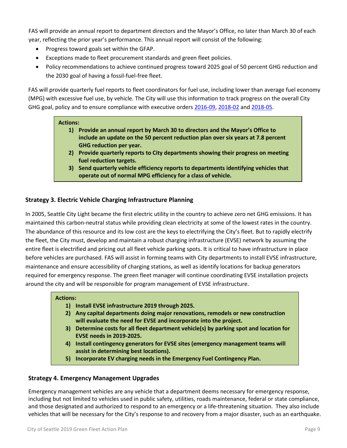FAS will provide an annual report to department directors and the Mayor's Office, no later than March 30 of each year, reflecting the prior year's performance. This annual report will consist of the following:

- Progress toward goals set within the GFAP.
- Exceptions made to fleet procurement standards and green fleet policies.
- Policy recommendations to achieve continued progress toward 2025 goal of 50 percent GHG reduction and the 2030 goal of having a fossil-fuel-free fleet.

FAS will provide quarterly fuel reports to fleet coordinators for fuel use, including lower than average fuel economy (MPG) with excessive fuel use, by vehicle. The City will use this information to track progress on the overall City GHG goal, policy and to ensure compliance with executive orders [2016-09,](http://murray.seattle.gov/wp-content/uploads/2016/12/Executive-Order-2016-09-Drive-Clean-Seattle-Fleet-Initiative.pdf) [2018-02](http://durkan.seattle.gov/wp-content/uploads/2018/04/Executive-Order-2018-02-Green-Fleet-.pdf) and [2018-05.](http://durkan.seattle.gov/wp-content/uploads/2018/09/09.24.18-Fleet-EO.pdf)

# **Actions:**

- **1) Provide an annual report by March 30 to directors and the Mayor's Office to include an update on the 50 percent reduction plan over six years at 7.8 percent GHG reduction per year.**
- **2) Provide quarterly reports to City departments showing their progress on meeting fuel reduction targets.**
- **3) Send quarterly vehicle efficiency reports to departments identifying vehicles that operate out of normal MPG efficiency for a class of vehicle.**

# **Strategy 3. Electric Vehicle Charging Infrastructure Planning**

In 2005, Seattle City Light became the first electric utility in the country to achieve zero net GHG emissions. It has maintained this carbon-neutral status while providing clean electricity at some of the lowest rates in the country. The abundance of this resource and its low cost are the keys to electrifying the City's fleet. But to rapidly electrify the fleet, the City must, develop and maintain a robust charging infrastructure (EVSE) network by assuming the entire fleet is electrified and pricing out all fleet vehicle parking spots. It is critical to have infrastructure in place before vehicles are purchased. FAS will assist in forming teams with City departments to install EVSE infrastructure, maintenance and ensure accessibility of charging stations, as well as identify locations for backup generators required for emergency response. The green fleet manager will continue coordinating EVSE installation projects around the city and will be responsible for program management of EVSE infrastructure.

# **Actions:**

- **1) Install EVSE infrastructure 2019 through 2025.**
- **2) Any capital departments doing major renovations, remodels or new construction will evaluate the need for EVSE and incorporate into the project.**
- **3) Determine costs for all fleet department vehicle(s) by parking spot and location for EVSE needs in 2019-2025.**
- **4) Install contingency generators for EVSE sites (emergency management teams will assist in determining best locations).**
- **5) Incorporate EV charging needs in the Emergency Fuel Contingency Plan.**

# **Strategy 4. Emergency Management Upgrades**

Emergency management vehicles are any vehicle that a department deems necessary for emergency response, including but not limited to vehicles used in public safety, utilities, roads maintenance, federal or state compliance, and those designated and authorized to respond to an emergency or a life-threatening situation. They also include vehicles that will be necessary for the City's response to and recovery from a major disaster, such as an earthquake.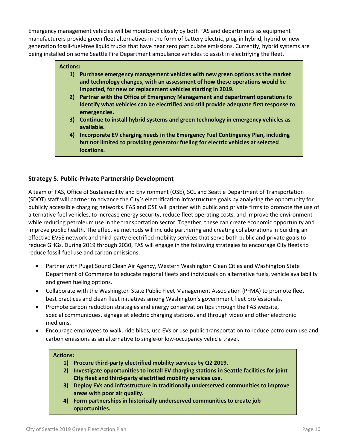Emergency management vehicles will be monitored closely by both FAS and departments as equipment manufacturers provide green fleet alternatives in the form of battery electric, plug-in hybrid, hybrid or new generation fossil-fuel-free liquid trucks that have near zero particulate emissions. Currently, hybrid systems are being installed on some Seattle Fire Department ambulance vehicles to assist in electrifying the fleet.

# **Actions:**

- **1) Purchase emergency management vehicles with new green options as the market and technology changes, with an assessment of how these operations would be impacted, for new or replacement vehicles starting in 2019.**
- **2) Partner with the Office of Emergency Management and department operations to identify what vehicles can be electrified and still provide adequate first response to emergencies.**
- **3) Continue to install hybrid systems and green technology in emergency vehicles as available.**
- **4) Incorporate EV charging needs in the Emergency Fuel Contingency Plan, including but not limited to providing generator fueling for electric vehicles at selected locations.**

# **Strategy 5. Public-Private Partnership Development**

A team of FAS, Office of Sustainability and Environment (OSE), SCL and Seattle Department of Transportation (SDOT) staff will partner to advance the City's electrification infrastructure goals by analyzing the opportunity for publicly accessible charging networks. FAS and OSE will partner with public and private firms to promote the use of alternative fuel vehicles, to increase energy security, reduce fleet operating costs, and improve the environment while reducing petroleum use in the transportation sector. Together, these can create economic opportunity and improve public health. The effective methods will include partnering and creating collaborations in building an effective EVSE network and third-party electrified mobility services that serve both public and private goals to reduce GHGs. During 2019 through 2030, FAS will engage in the following strategies to encourage City fleets to reduce fossil-fuel use and carbon emissions:

- Partner with Puget Sound Clean Air Agency, Western Washington Clean Cities and Washington State Department of Commerce to educate regional fleets and individuals on alternative fuels, vehicle availability and green fueling options.
- Collaborate with the Washington State Public Fleet Management Association (PFMA) to promote fleet best practices and clean fleet initiatives among Washington's government fleet professionals.
- Promote carbon reduction strategies and energy conservation tips through the FAS website, special communiques, signage at electric charging stations, and through video and other electronic mediums.
- Encourage employees to walk, ride bikes, use EVs or use public transportation to reduce petroleum use and carbon emissions as an alternative to single-or low-occupancy vehicle travel.

#### **Actions:**

- **1) Procure third-party electrified mobility services by Q2 2019.**
- **2) Investigate opportunities to install EV charging stations in Seattle facilities for joint City fleet and third-party electrified mobility services use.**
- **3) Deploy EVs and infrastructure in traditionally underserved communities to improve areas with poor air quality.**
- **4) Form partnerships in historically underserved communities to create job opportunities.**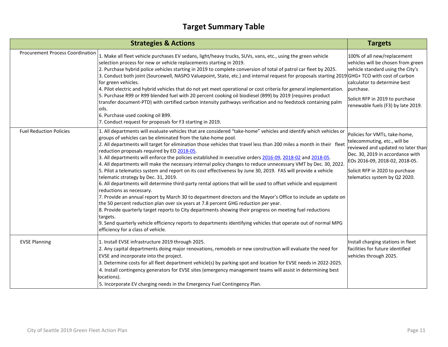# **Target Summary Table**

|                                         | <b>Strategies &amp; Actions</b>                                                                                                                                                                                                                                                                                                                                                                                                                                                                                                                                                                                                                                                                                                                                                                                                                                                                                                                                                                                                                                                                                                                                                                                                                                                                                                                                                              | <b>Targets</b>                                                                                                                                                                                                                                |
|-----------------------------------------|----------------------------------------------------------------------------------------------------------------------------------------------------------------------------------------------------------------------------------------------------------------------------------------------------------------------------------------------------------------------------------------------------------------------------------------------------------------------------------------------------------------------------------------------------------------------------------------------------------------------------------------------------------------------------------------------------------------------------------------------------------------------------------------------------------------------------------------------------------------------------------------------------------------------------------------------------------------------------------------------------------------------------------------------------------------------------------------------------------------------------------------------------------------------------------------------------------------------------------------------------------------------------------------------------------------------------------------------------------------------------------------------|-----------------------------------------------------------------------------------------------------------------------------------------------------------------------------------------------------------------------------------------------|
| <b>Procurement Process Coordination</b> | 1. Make all fleet vehicle purchases EV sedans, light/heavy trucks, SUVs, vans, etc., using the green vehicle<br>selection process for new or vehicle replacements starting in 2019.<br>2. Purchase hybrid police vehicles starting in 2019 to complete conversion of total of patrol car fleet by 2025.<br>3. Conduct both joint (Sourcewell, NASPO Valuepoint, State, etc.) and internal request for proposals starting 2019 GHG+ TCO with cost of carbon<br>for green vehicles.<br>4. Pilot electric and hybrid vehicles that do not yet meet operational or cost criteria for general implementation.<br>5. Purchase R99 or R99 blended fuel with 20 percent cooking oil biodiesel (B99) by 2019 (requires product<br>transfer document-PTD) with certified carbon intensity pathways verification and no feedstock containing palm<br>oils.<br>6. Purchase used cooking oil B99.<br>7. Conduct request for proposals for F3 starting in 2019.                                                                                                                                                                                                                                                                                                                                                                                                                                            | 100% of all new/replacement<br>vehicles will be chosen from green<br>vehicle standard using the City's<br>calculator to determine best<br>purchase.<br>Solicit RFP in 2019 to purchase<br>renewable fuels (F3) by late 2019.                  |
| <b>Fuel Reduction Policies</b>          | 1. All departments will evaluate vehicles that are considered "take-home" vehicles and identify which vehicles or<br>groups of vehicles can be eliminated from the take-home pool.<br>2. All departments will target for elimination those vehicles that travel less than 200 miles a month in their fleet<br>reduction proposals required by EO 2018-05.<br>3. All departments will enforce the policies established in executive orders 2016-09, 2018-02 and 2018-05.<br>4. All departments will make the necessary internal policy changes to reduce unnecessary VMT by Dec. 30, 2022.<br>5. Pilot a telematics system and report on its cost effectiveness by June 30, 2019. FAS will provide a vehicle<br>telematic strategy by Dec. 31, 2019.<br>6. All departments will determine third-party rental options that will be used to offset vehicle and equipment<br>reductions as necessary.<br>7. Provide an annual report by March 30 to department directors and the Mayor's Office to include an update on<br>the 50 percent reduction plan over six years at 7.8 percent GHG reduction per year.<br>8. Provide quarterly target reports to City departments showing their progress on meeting fuel reductions<br>targets.<br>9. Send quarterly vehicle efficiency reports to departments identifying vehicles that operate out of normal MPG<br>efficiency for a class of vehicle. | Policies for VMTs, take-home,<br>telecommuting, etc., will be<br>reviewed and updated no later than<br>Dec. 30, 2019 in accordance with<br>EOs 2016-09, 2018-02, 2018-05.<br>Solicit RFP in 2020 to purchase<br>telematics system by Q2 2020. |
| <b>EVSE Planning</b>                    | 1. Install EVSE infrastructure 2019 through 2025.<br>2. Any capital departments doing major renovations, remodels or new construction will evaluate the need for<br>EVSE and incorporate into the project.<br>3. Determine costs for all fleet department vehicle(s) by parking spot and location for EVSE needs in 2022-2025.<br>4. Install contingency generators for EVSE sites (emergency management teams will assist in determining best<br>locations).<br>5. Incorporate EV charging needs in the Emergency Fuel Contingency Plan.                                                                                                                                                                                                                                                                                                                                                                                                                                                                                                                                                                                                                                                                                                                                                                                                                                                    | Install charging stations in fleet<br>facilities for future identified<br>vehicles through 2025.                                                                                                                                              |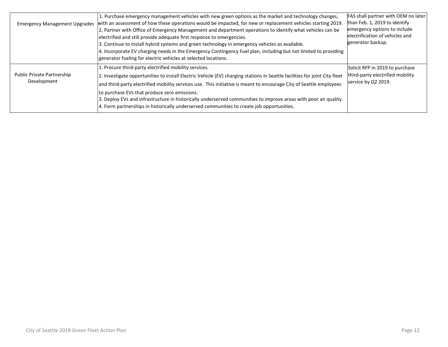| <b>Emergency Management Upgrades</b>      | 1. Purchase emergency management vehicles with new green options as the market and technology changes,<br>with an assessment of how these operations would be impacted, for new or replacement vehicles starting 2019.<br>2. Partner with Office of Emergency Management and department operations to identify what vehicles can be<br>electrified and still provide adequate first response to emergencies.<br>3. Continue to install hybrid systems and green technology in emergency vehicles as available.<br>4. Incorporate EV charging needs in the Emergency Contingency Fuel plan, including but not limited to providing<br>generator fueling for electric vehicles at selected locations. | FAS shall partner with OEM no later<br>than Feb. 1, 2019 to identify<br>emergency options to include<br>electrification of vehicles and<br>generator backup. |
|-------------------------------------------|-----------------------------------------------------------------------------------------------------------------------------------------------------------------------------------------------------------------------------------------------------------------------------------------------------------------------------------------------------------------------------------------------------------------------------------------------------------------------------------------------------------------------------------------------------------------------------------------------------------------------------------------------------------------------------------------------------|--------------------------------------------------------------------------------------------------------------------------------------------------------------|
| Public Private Partnership<br>Development | 1. Procure third-party electrified mobility services.<br>2. Investigate opportunities to install Electric Vehicle (EV) charging stations in Seattle facilities for joint City fleet<br>and third-party electrified mobility services use. This initiative is meant to encourage City of Seattle employees<br>to purchase EVs that produce zero emissions.<br>3. Deploy EVs and infrastructure in historically underserved communities to improve areas with poor air quality.<br>4. Form partnerships in historically underserved communities to create job opportunities.                                                                                                                          | Solicit RFP in 2019 to purchase<br>third-party electrified mobility<br>service by Q2 2019.                                                                   |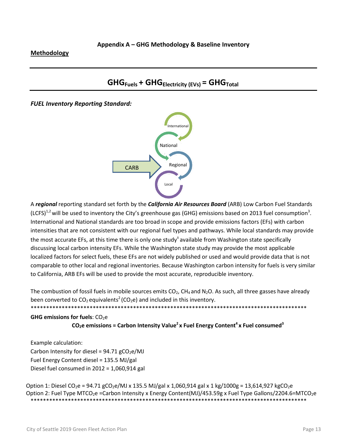# **Methodology**

# **GHGFuels + GHGElectricity (EVs) = GHGTotal**

*FUEL Inventory Reporting Standard:*



A *regional* reporting standard set forth by the *California Air Resources Board* (ARB) Low Carbon Fuel Standards (LCFS)<sup>1,2</sup> will be used to inventory the City's greenhouse gas (GHG) emissions based on 2013 fuel consumption<sup>3</sup>. International and National standards are too broad in scope and provide emissions factors (EFs) with carbon intensities that are not consistent with our regional fuel types and pathways. While local standards may provide the most accurate EFs, at this time there is only one study $<sup>±</sup>$  available from Washington state specifically</sup> discussing local carbon intensity EFs. While the Washington state study may provide the most applicable localized factors for select fuels, these EFs are not widely published or used and would provide data that is not comparable to other local and regional inventories. Because Washington carbon intensity for fuels is very similar to California, ARB EFs will be used to provide the most accurate, reproducible inventory.

The combustion of fossil fuels in mobile sources emits  $CO<sub>2</sub>$ , CH<sub>4</sub> and N<sub>2</sub>O. As such, all three gasses have already been converted to  $CO_2$  equivalents<sup>2</sup> (CO<sub>2</sub>e) and included in this inventory.

\*\*\*\*\*\*\*\*\*\*\*\*\*\*\*\*\*\*\*\*\*\*\*\*\*\*\*\*\*\*\*\*\*\*\*\*\*\*\*\*\*\*\*\*\*\*\*\*\*\*\*\*\*\*\*\*\*\*\*\*\*\*\*\*\*\*\*\*\*\*\*\*\*\*\*\*\*\*\*\*\*\*\*\*\*\*\*\*\*

**GHG emissions for fuels: CO<sub>2</sub>e**  $CO<sub>2</sub>e$  emissions = Carbon Intensity Value<sup>2</sup> x Fuel Energy Content<sup>4</sup> x Fuel consumed<sup>3</sup>

Example calculation: Carbon Intensity for diesel =  $94.71$  gCO<sub>2</sub>e/MJ Fuel Energy Content diesel = 135.5 MJ/gal Diesel fuel consumed in 2012 = 1,060,914 gal

Option 1: Diesel CO<sub>2</sub>e = 94.71 gCO<sub>2</sub>e/MJ x 135.5 MJ/gal x 1,060,914 gal x 1 kg/1000g = 13,614,927 kgCO<sub>2</sub>e Option 2: Fuel Type MTCO<sub>2</sub>e =Carbon Intensity x Energy Content(MJ)/453.59g x Fuel Type Gallons/2204.6=MTCO<sub>2</sub>e \*\*\*\*\*\*\*\*\*\*\*\*\*\*\*\*\*\*\*\*\*\*\*\*\*\*\*\*\*\*\*\*\*\*\*\*\*\*\*\*\*\*\*\*\*\*\*\*\*\*\*\*\*\*\*\*\*\*\*\*\*\*\*\*\*\*\*\*\*\*\*\*\*\*\*\*\*\*\*\*\*\*\*\*\*\*\*\*\*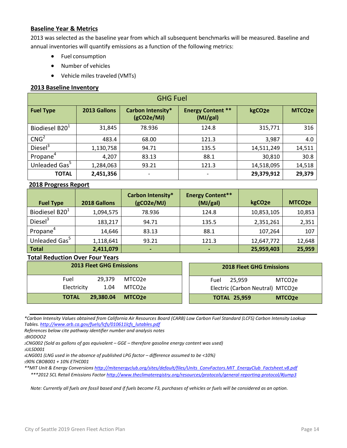# **Baseline Year & Metrics**

2013 was selected as the baseline year from which all subsequent benchmarks will be measured. Baseline and annual inventories will quantify emissions as a function of the following metrics:

- Fuel consumption
- Number of vehicles
- Vehicle miles traveled (VMTs)

# **2013 Baseline Inventory**

| <b>GHG Fuel</b>            |              |                                 |                                      |                    |                    |
|----------------------------|--------------|---------------------------------|--------------------------------------|--------------------|--------------------|
| <b>Fuel Type</b>           | 2013 Gallons | Carbon Intensity*<br>(gCO2e/MJ) | <b>Energy Content **</b><br>(MJ/gal) | kgCO <sub>2e</sub> | MTCO <sub>2e</sub> |
| Biodiesel B20 <sup>1</sup> | 31,845       | 78.936                          | 124.8                                | 315,771            | 316                |
| CNG <sup>2</sup>           | 483.4        | 68.00                           | 121.3                                | 3,987              | 4.0                |
| Diesel <sup>3</sup>        | 1,130,758    | 94.71                           | 135.5                                | 14,511,249         | 14,511             |
| Propane <sup>4</sup>       | 4,207        | 83.13                           | 88.1                                 | 30,810             | 30.8               |
| Unleaded Gas <sup>5</sup>  | 1,284,063    | 93.21                           | 121.3                                | 14,518,095         | 14,518             |
| <b>TOTAL</b>               | 2,451,356    | $\overline{\phantom{a}}$        | $\overline{\phantom{a}}$             | 29,379,912         | 29,379             |

# **2018 Progress Report**

| <b>Fuel Type</b>           | 2018 Gallons | Carbon Intensity*<br>(gCO2e/MJ) | <b>Energy Content**</b><br>(MJ/gal) | kgCO <sub>2</sub> e | MTCO <sub>2</sub> e |
|----------------------------|--------------|---------------------------------|-------------------------------------|---------------------|---------------------|
| Biodiesel B20 <sup>1</sup> | 1,094,575    | 78.936                          | 124.8                               | 10,853,105          | 10,853              |
| Diesel <sup>3</sup>        | 183,217      | 94.71                           | 135.5                               | 2,351,261           | 2,351               |
| Propane <sup>4</sup>       | 14,646       | 83.13                           | 88.1                                | 107,264             | 107                 |
| Unleaded Gas <sup>5</sup>  | 1,118,641    | 93.21                           | 121.3                               | 12,647,772          | 12,648              |
| <b>Total</b>               | 2,411,079    | -                               |                                     | 25,959,403          | 25,959              |

# **Total Reduction Over Four Years**

| <b>2013 Fleet GHG Emissions</b>                  | <b>2018 Fleet GHG Emissions</b>            |
|--------------------------------------------------|--------------------------------------------|
| 29.379<br>Fuel<br>MTCO2e                         | Fuel<br>25.959<br>MTCO2e                   |
| Electricity<br>1.04<br>MTCO2e                    | Electric (Carbon Neutral) MTCO2e           |
| 29.380.04<br><b>TOTAL</b><br>MTCO <sub>2</sub> e | <b>TOTAL 25,959</b><br>MTCO <sub>2</sub> e |

*\*Carbon Intensity Values obtained from California Air Resources Board (CARB) Low Carbon Fuel Standard (LCFS) Carbon Intensity Lookup Tables. [http://www.arb.ca.gov/fuels/lcfs/010611lcfs\\_lutables.pdf](http://www.arb.ca.gov/fuels/lcfs/010611lcfs_lutables.pdf)*

*References below cite pathway identifier number and analysis notes*

*1BIODOO2*

*2CNG002 (Sold as gallons of gas equivalent – GGE – therefore gasoline energy content was used) 3ULSD001*

*4LNG001 (LNG used in the absence of published LPG factor – difference assumed to be <10%)*

*590% CBOB001 + 10% ETHC001*

*\*\*MIT Unit & Energy Conversions [http://mitenergyclub.org/sites/default/files/Units\\_ConvFactors.MIT\\_EnergyClub\\_Factsheet.v8.pdf](http://mitenergyclub.org/sites/default/files/Units_ConvFactors.MIT_EnergyClub_Factsheet.v8.pdf)*

*\*\*\*2012 SCL Retail Emissions Factor [http://www.theclimateregistry.org/resources/protocols/general-reporting-protocol/#jump3](http://www.theclimateregistry.org/resources/protocols/general%E2%80%90reporting%E2%80%90protocol/#jump3)*

*Note: Currently all fuels are fossil based and if fuels become F3, purchases of vehicles or fuels will be considered as an option.*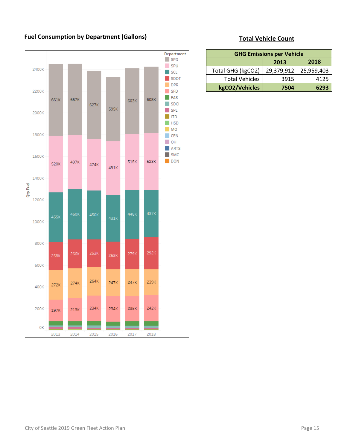# **Fuel Consumption by Department (Gallons)**



# **Total Vehicle Count**

| <b>GHG Emissions per Vehicle</b> |            |            |  |
|----------------------------------|------------|------------|--|
| 2018<br>2013                     |            |            |  |
| Total GHG (kgCO2)                | 29,379,912 | 25,959,403 |  |
| <b>Total Vehicles</b>            | 3915       | 4125       |  |
| kgCO2/Vehicles                   | 6293       |            |  |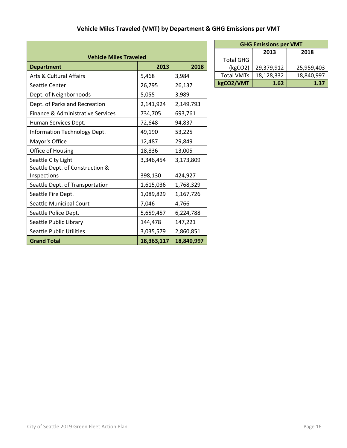| <b>Vehicle Miles Traveled</b>                  |            |            |  |
|------------------------------------------------|------------|------------|--|
| <b>Department</b>                              | 2013       | 2018       |  |
| <b>Arts &amp; Cultural Affairs</b>             | 5,468      | 3,984      |  |
| Seattle Center                                 | 26,795     | 26,137     |  |
| Dept. of Neighborhoods                         | 5,055      | 3,989      |  |
| Dept. of Parks and Recreation                  | 2,141,924  | 2,149,793  |  |
| Finance & Administrative Services              | 734,705    | 693,761    |  |
| Human Services Dept.                           | 72,648     | 94,837     |  |
| Information Technology Dept.                   | 49,190     | 53,225     |  |
| Mayor's Office                                 | 12,487     | 29,849     |  |
| Office of Housing                              | 18,836     | 13,005     |  |
| Seattle City Light                             | 3,346,454  | 3,173,809  |  |
| Seattle Dept. of Construction &<br>Inspections | 398,130    | 424,927    |  |
| Seattle Dept. of Transportation                | 1,615,036  | 1,768,329  |  |
| Seattle Fire Dept.                             | 1,089,829  | 1,167,726  |  |
| Seattle Municipal Court                        | 7,046      | 4,766      |  |
| Seattle Police Dept.                           | 5,659,457  | 6,224,788  |  |
| Seattle Public Library                         | 144,478    | 147,221    |  |
| <b>Seattle Public Utilities</b>                | 3,035,579  | 2,860,851  |  |
| <b>Grand Total</b>                             | 18,363,117 | 18,840,997 |  |

Г

| <b>GHG Emissions per VMT</b> |            |            |  |
|------------------------------|------------|------------|--|
|                              | 2013       | 2018       |  |
| <b>Total GHG</b>             |            |            |  |
| (kgCO2)                      | 29,379,912 | 25,959,403 |  |
| <b>Total VMTs</b>            | 18,128,332 | 18,840,997 |  |
| kgCO2/VMT                    | 1.62       | 1.37       |  |